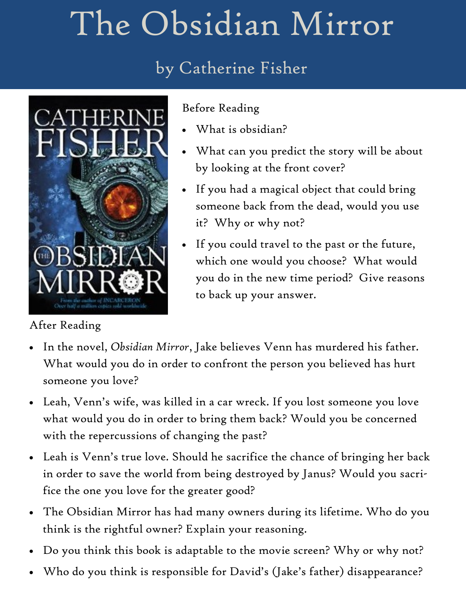# The Obsidian Mirror

## by Catherine Fisher



#### Before Reading

- What is obsidian?
- What can you predict the story will be about by looking at the front cover?
- If you had a magical object that could bring someone back from the dead, would you use it? Why or why not?
- If you could travel to the past or the future, which one would you choose? What would you do in the new time period? Give reasons to back up your answer.

### After Reading

- In the novel, *Obsidian Mirror*, Jake believes Venn has murdered his father. What would you do in order to confront the person you believed has hurt someone you love?
- Leah, Venn's wife, was killed in a car wreck. If you lost someone you love what would you do in order to bring them back? Would you be concerned with the repercussions of changing the past?
- Leah is Venn's true love. Should he sacrifice the chance of bringing her back in order to save the world from being destroyed by Janus? Would you sacrifice the one you love for the greater good?
- The Obsidian Mirror has had many owners during its lifetime. Who do you think is the rightful owner? Explain your reasoning.
- Do you think this book is adaptable to the movie screen? Why or why not?
- Who do you think is responsible for David's (Jake's father) disappearance?